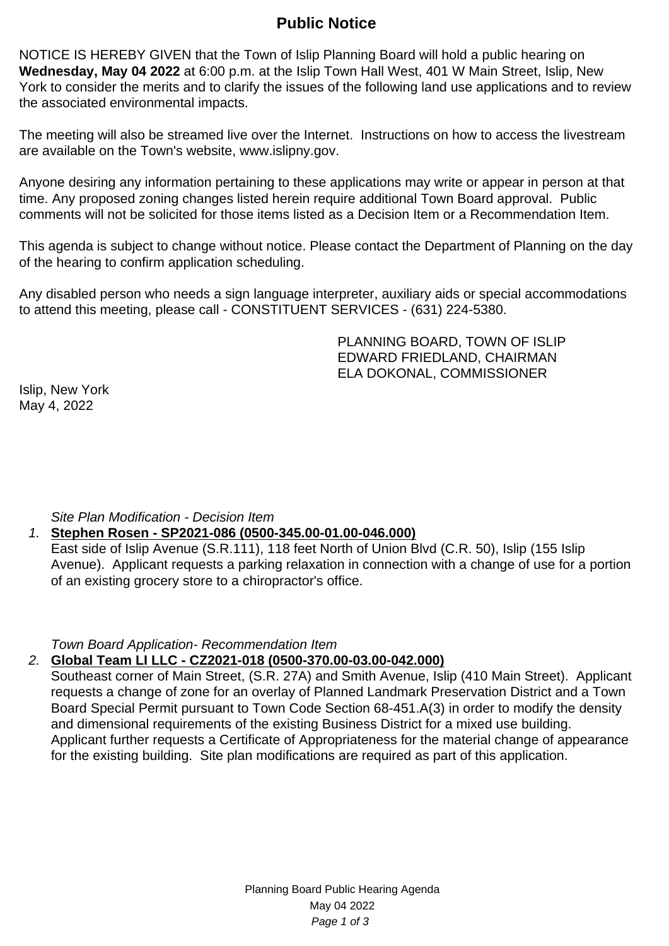# **Public Notice**

NOTICE IS HEREBY GIVEN that the Town of Islip Planning Board will hold a public hearing on **Wednesday, May 04 2022** at 6:00 p.m. at the Islip Town Hall West, 401 W Main Street, Islip, New York to consider the merits and to clarify the issues of the following land use applications and to review the associated environmental impacts.

The meeting will also be streamed live over the Internet. Instructions on how to access the livestream are available on the Town's website, www.islipny.gov.

Anyone desiring any information pertaining to these applications may write or appear in person at that time. Any proposed zoning changes listed herein require additional Town Board approval. Public comments will not be solicited for those items listed as a Decision Item or a Recommendation Item.

This agenda is subject to change without notice. Please contact the Department of Planning on the day of the hearing to confirm application scheduling.

Any disabled person who needs a sign language interpreter, auxiliary aids or special accommodations to attend this meeting, please call - CONSTITUENT SERVICES - (631) 224-5380.

> PLANNING BOARD, TOWN OF ISLIP EDWARD FRIEDLAND, CHAIRMAN ELA DOKONAL, COMMISSIONER

Islip, New York May 4, 2022

Site Plan Modification - Decision Item

# 1. **Stephen Rosen - SP2021-086 (0500-345.00-01.00-046.000)**

East side of Islip Avenue (S.R.111), 118 feet North of Union Blvd (C.R. 50), Islip (155 Islip Avenue). Applicant requests a parking relaxation in connection with a change of use for a portion of an existing grocery store to a chiropractor's office.

Town Board Application- Recommendation Item

# 2. **Global Team LI LLC - CZ2021-018 (0500-370.00-03.00-042.000)**

Southeast corner of Main Street, (S.R. 27A) and Smith Avenue, Islip (410 Main Street). Applicant requests a change of zone for an overlay of Planned Landmark Preservation District and a Town Board Special Permit pursuant to Town Code Section 68-451.A(3) in order to modify the density and dimensional requirements of the existing Business District for a mixed use building. Applicant further requests a Certificate of Appropriateness for the material change of appearance for the existing building. Site plan modifications are required as part of this application.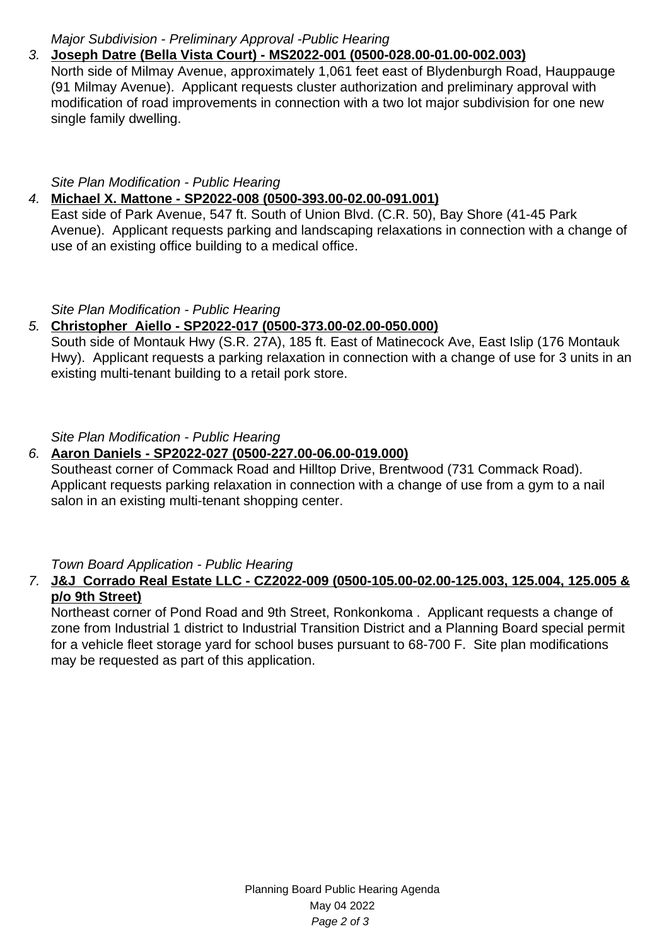# Major Subdivision - Preliminary Approval -Public Hearing

## 3. **Joseph Datre (Bella Vista Court) - MS2022-001 (0500-028.00-01.00-002.003)**

North side of Milmay Avenue, approximately 1,061 feet east of Blydenburgh Road, Hauppauge (91 Milmay Avenue). Applicant requests cluster authorization and preliminary approval with modification of road improvements in connection with a two lot major subdivision for one new single family dwelling.

#### Site Plan Modification - Public Hearing

## 4. **Michael X. Mattone - SP2022-008 (0500-393.00-02.00-091.001)**

East side of Park Avenue, 547 ft. South of Union Blvd. (C.R. 50), Bay Shore (41-45 Park Avenue). Applicant requests parking and landscaping relaxations in connection with a change of use of an existing office building to a medical office.

#### Site Plan Modification - Public Hearing

### 5. **Christopher Aiello - SP2022-017 (0500-373.00-02.00-050.000)**

South side of Montauk Hwy (S.R. 27A), 185 ft. East of Matinecock Ave, East Islip (176 Montauk Hwy). Applicant requests a parking relaxation in connection with a change of use for 3 units in an existing multi-tenant building to a retail pork store.

Site Plan Modification - Public Hearing

### 6. **Aaron Daniels - SP2022-027 (0500-227.00-06.00-019.000)**

Southeast corner of Commack Road and Hilltop Drive, Brentwood (731 Commack Road). Applicant requests parking relaxation in connection with a change of use from a gym to a nail salon in an existing multi-tenant shopping center.

Town Board Application - Public Hearing

#### 7. **J&J Corrado Real Estate LLC - CZ2022-009 (0500-105.00-02.00-125.003, 125.004, 125.005 & p/o 9th Street)**

Northeast corner of Pond Road and 9th Street, Ronkonkoma . Applicant requests a change of zone from Industrial 1 district to Industrial Transition District and a Planning Board special permit for a vehicle fleet storage yard for school buses pursuant to 68-700 F. Site plan modifications may be requested as part of this application.